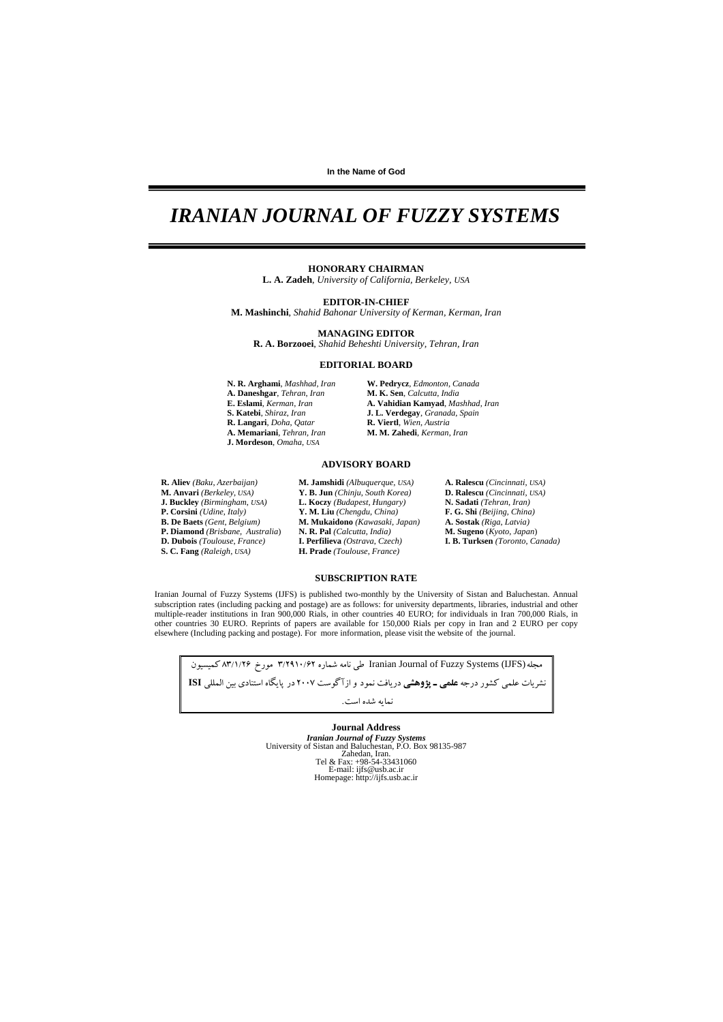**In the Name of God** 

## *IRANIAN JOURNAL OF FUZZY SYSTEMS*

#### **HONORARY CHAIRMAN**

**L. A. Zadeh**, *University of California, Berkeley, USA*

**EDITOR-IN-CHIEF** 

**M. Mashinchi**, *Shahid Bahonar University of Kerman, Kerman, Iran* 

#### **MANAGING EDITOR**

**R. A. Borzooei**, *Shahid Beheshti University, Tehran, Iran*

#### **EDITORIAL BOARD**

- **A. Daneshgar**, *Tehran*, *Iran* **M. K. Sen**, *Calcutta*, *India*  **R. Langari**, *Doha*, *Qatar* **R. Viertl**, *Wien*, *Austria* **J. Mordeson**, *Omaha*, *USA*
- **N. R. Arghami**, *Mashhad*, *Iran* **W. Pedrycz**, *Edmonton*, *Canada* **E. Eslami**, *Kerman*, *Iran* **A. Vahidian Kamyad**, *Mashhad, Iran* **S. Katebi**, *Shiraz*, *Iran* **J. L. Verdegay**, *Granada*, *Spain* **A. Memariani**, *Tehran, Iran* **M. M. Zahedi**, *Kerman*, *Iran*

#### **ADVISORY BOARD**

- **R. Aliev** *(Baku*, *Azerbaijan)* **M. Jamshidi** *(Albuquerque*, *USA)* **A. Ralescu** *(Cincinnati*, *USA)* **M. Anvari** *(Berkeley*, *USA)* **Y. B. Jun** *(Chinju*, *South Korea)* **D. Ralescu** *(Cincinnati*, *USA)* **J. Buckley** *(Birmingham*, *USA)* **L. Koczy** *(Budapest, Hungary)* **N. Sadati** *(Tehran*, *Iran)*  **P. Corsini** *(Udine*, *Italy)* **Y. M. Liu** *(Chengdu*, *China)* **F. G. Shi** *(Beijing, China)* **P. Diamond** *(Brisbane, Australia)* **N. R. Pal** *(Calcutta, India)* **D. Dubois** *(Toulouse, France)* **I. Perfilieva** *(Ostrava, Czech)*
- 
- **B. De Baets** *(Gent*, *Belgium)* **M. Mukaidono** *(Kawasaki, Japan)* **A. Sostak** *(Riga*, *Latvia)* **D. Dubois** *(Toulouse*, *France)* **I. Perfilieva** *(Ostrava*, *Czech)* **I. B. Turksen** *(Toronto*, *Canada)* **S. C. Fang** *(Raleigh*, *USA)* **H. Prade** *(Toulouse*, *France)*

#### **SUBSCRIPTION RATE**

Iranian Journal of Fuzzy Systems (IJFS) is published two-monthly by the University of Sistan and Baluchestan. Annual subscription rates (including packing and postage) are as follows: for university departments, libraries, industrial and other multiple-reader institutions in Iran 900,000 Rials, in other countries 40 EURO; for individuals in Iran 700,000 Rials, in other countries 30 EURO. Reprints of papers are available for 150,000 Rials per copy in Iran and 2 EURO per copy elsewhere (Including packing and postage). For more information, please visit the website of the journal.

مجله(IJFS) معجله(IJFS (IJFS وIranian Journal of Fuzzy Systems) طي نامه شماره ٣/١٩١٠/٢٩ مورخ ٨٣/١/٢٤ كميسيون نشريات علمي كشور درجه **علمي ـ پژوهشي** دريافت نمود و ازآگوست 2007 در پايگاه استنادي بين المللي **ISI** نمايه شده است.

> **Journal Address**  *Iranian Journal of Fuzzy Systems*  University of Sistan and Baluchestan, P.O. Box 98135-987 Zahedan, Iran. Tel & Fax: +98-54-33431060 E-mail: ijfs@usb.ac.ir Homepage: http://ijfs.usb.ac.ir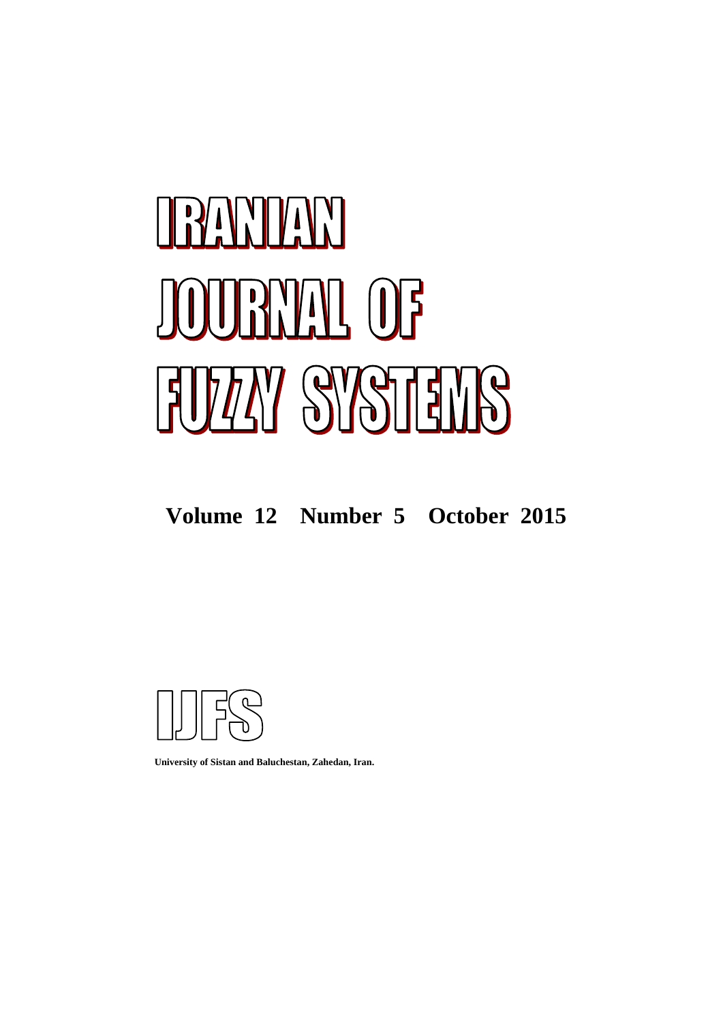# RAMMAN **BYAL OF FUZAY SYSTEMS**

## **Volume 12 Number 5 October 2015**



**University of Sistan and Baluchestan, Zahedan, Iran.**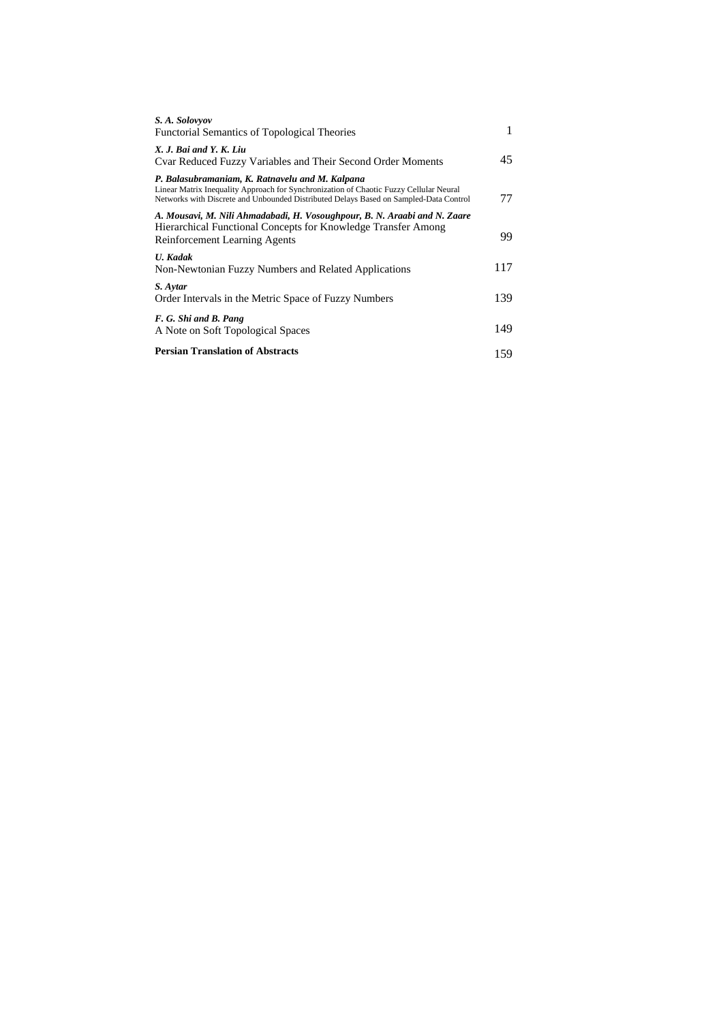| S.A. Solovyov<br><b>Functorial Semantics of Topological Theories</b>                                                                                                                                                               | 1   |
|------------------------------------------------------------------------------------------------------------------------------------------------------------------------------------------------------------------------------------|-----|
| X. J. Bai and Y. K. Liu<br>Cvar Reduced Fuzzy Variables and Their Second Order Moments                                                                                                                                             | 45  |
| P. Balasubramaniam, K. Ratnavelu and M. Kalpana<br>Linear Matrix Inequality Approach for Synchronization of Chaotic Fuzzy Cellular Neural<br>Networks with Discrete and Unbounded Distributed Delays Based on Sampled-Data Control | 77  |
| A. Mousavi, M. Nili Ahmadabadi, H. Vosoughpour, B. N. Araabi and N. Zaare<br>Hierarchical Functional Concepts for Knowledge Transfer Among<br><b>Reinforcement Learning Agents</b>                                                 | 99  |
| <b>U.</b> Kadak<br>Non-Newtonian Fuzzy Numbers and Related Applications                                                                                                                                                            | 117 |
| S. Aytar<br>Order Intervals in the Metric Space of Fuzzy Numbers                                                                                                                                                                   | 139 |
| F. G. Shi and B. Pang<br>A Note on Soft Topological Spaces                                                                                                                                                                         | 149 |
| <b>Persian Translation of Abstracts</b>                                                                                                                                                                                            | 159 |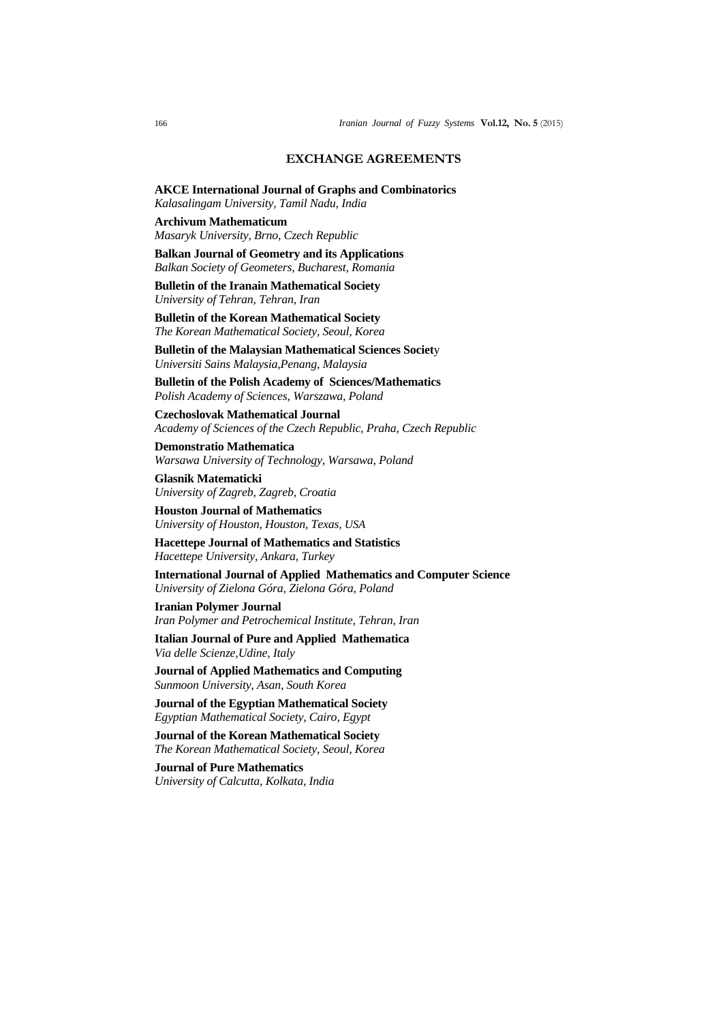#### **EXCHANGE AGREEMENTS**

**AKCE International Journal of Graphs and Combinatorics**  *Kalasalingam University, Tamil Nadu, India*

**Archivum Mathematicum** *Masaryk University, Brno, Czech Republic*

**Balkan Journal of Geometry and its Applications** *Balkan Society of Geometers, Bucharest, Romania*

**Bulletin of the Iranain Mathematical Society**  *University of Tehran, Tehran, Iran* 

**Bulletin of the Korean Mathematical Society** *The Korean Mathematical Society, Seoul, Korea*

 **Bulletin of the Malaysian Mathematical Sciences Societ**y *Universiti Sains Malaysia,Penang, Malaysia*

**Bulletin of the Polish Academy of Sciences/Mathematics**  *Polish Academy of Sciences, Warszawa, Poland*

**Czechoslovak Mathematical Journal** *Academy of Sciences of the Czech Republic, Praha, Czech Republic*

**Demonstratio Mathematica**  *Warsawa University of Technology, Warsawa, Poland*

**Glasnik Matematicki**  *University of Zagreb, Zagreb, Croatia* 

**Houston Journal of Mathematics** *University of Houston, Houston, Texas, USA*

**Hacettepe Journal of Mathematics and Statistics**  *Hacettepe University, Ankara, Turkey* 

**International Journal of Applied Mathematics and Computer Science** *University of Zielona Góra, Zielona Góra, Poland* 

**Iranian Polymer Journal** *Iran Polymer and Petrochemical Institute, Tehran, Iran* 

**Italian Journal of Pure and Applied Mathematica**  *Via delle Scienze,Udine, Italy*

**Journal of Applied Mathematics and Computing**  *Sunmoon University, Asan, South Korea* 

**Journal of the Egyptian Mathematical Society**  *Egyptian Mathematical Society, Cairo, Egypt* 

**Journal of the Korean Mathematical Society** *The Korean Mathematical Society, Seoul, Korea*

**Journal of Pure Mathematics** *University of Calcutta, Kolkata, India*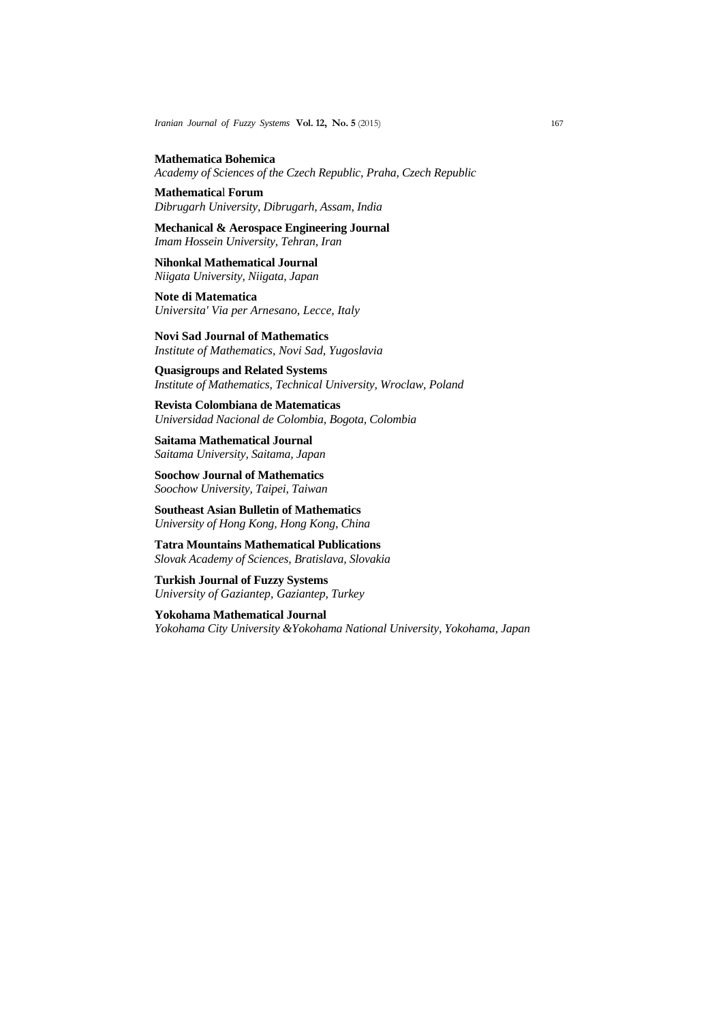*Iranian Journal of Fuzzy Systems* **Vol. 12, No. 5** (2015)167

**Mathematica Bohemica**  *Academy of Sciences of the Czech Republic, Praha, Czech Republic*

**Mathematica**l **Forum** *Dibrugarh University, Dibrugarh, Assam, India* 

**Mechanical & Aerospace Engineering Journal**  *Imam Hossein University, Tehran, Iran* 

**Nihonkal Mathematical Journal**  *Niigata University, Niigata, Japan* 

**Note di Matematica** *Universita' Via per Arnesano, Lecce, Italy*

**Novi Sad Journal of Mathematics** *Institute of Mathematics, Novi Sad*, *Yugoslavia*

 **Quasigroups and Related Systems** *Institute of Mathematics, Technical University, Wroclaw, Poland* 

**Revista Colombiana de Matematicas**  *Universidad Nacional de Colombia, Bogota, Colombia* 

**Saitama Mathematical Journal**  *Saitama University, Saitama, Japan* 

**Soochow Journal of Mathematics**  *Soochow University, Taipei, Taiwan* 

**Southeast Asian Bulletin of Mathematics**  *University of Hong Kong, Hong Kong, China* 

**Tatra Mountains Mathematical Publications**  *Slovak Academy of Sciences, Bratislava, Slovakia*

**Turkish Journal of Fuzzy Systems**  *University of Gaziantep, Gaziantep, Turkey*

**Yokohama Mathematical Journal**  *Yokohama City University &Yokohama National University, Yokohama, Japan*